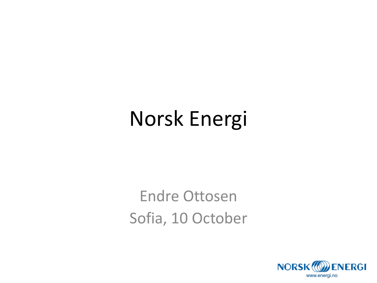## Norsk Energi

Endre Ottosen Sofia, 10 October

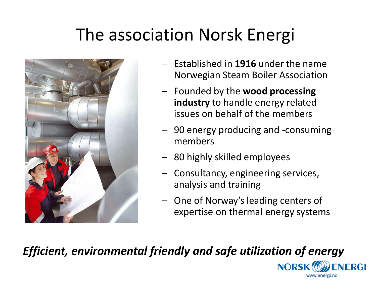#### The association Norsk Energi



- Established in **1916** under the name Norwegian Steam Boiler Association
- Founded by the **wood processing industry** to handle energy related issues on behalf of the members
- 90 energy producing and -consuming members
- 80 highly skilled employees
- Consultancy, engineering services, analysis and training
- One of Norway's leading centers of expertise on thermal energy systems

**NORSK!** 

www.energi.no

**ENERGI** 

#### *Efficient, environmental friendly and safe utilization of energy*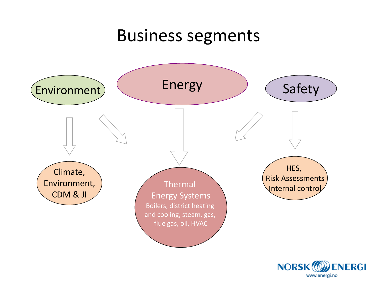#### Business segments



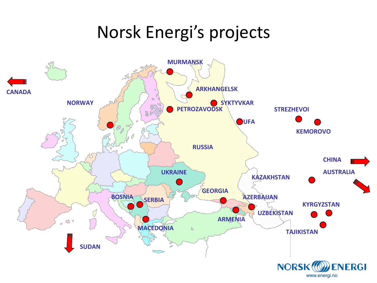#### Norsk Energi's projects

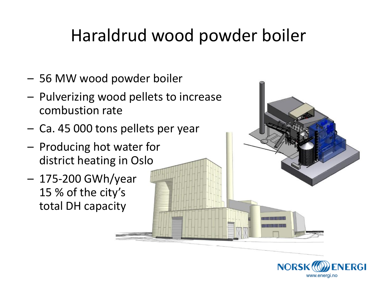#### Haraldrud wood powder boiler

- 56 MW wood powder boiler
- Pulverizing wood pellets to increase combustion rate
- Ca. 45 000 tons pellets per year
- Producing hot water for district heating in Oslo
- 175-200 GWh/year 15 % of the city's total DH capacity

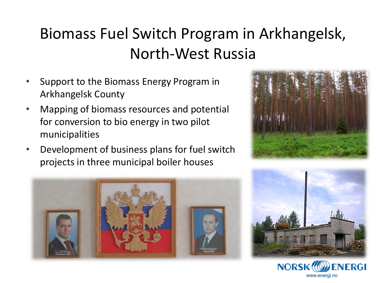#### Biomass Fuel Switch Program in Arkhangelsk, North-West Russia

- Support to the Biomass Energy Program in Arkhangelsk County
- Mapping of biomass resources and potential for conversion to bio energy in two pilot municipalities
- Development of business plans for fuel switch projects in three municipal boiler houses







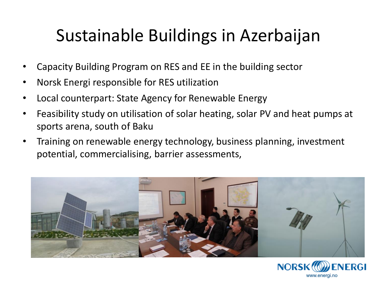### Sustainable Buildings in Azerbaijan

- Capacity Building Program on RES and EE in the building sector
- Norsk Energi responsible for RES utilization
- Local counterpart: State Agency for Renewable Energy
- Feasibility study on utilisation of solar heating, solar PV and heat pumps at sports arena, south of Baku
- Training on renewable energy technology, business planning, investment potential, commercialising, barrier assessments,



**NORSK!!** 

www.energi.no

ENERGI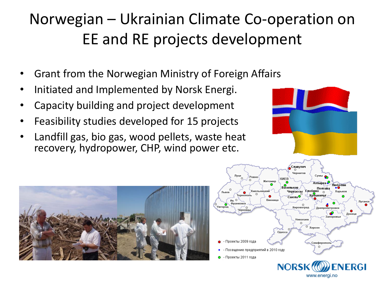#### Norwegian – Ukrainian Climate Co-operation on EE and RE projects development

- Grant from the Norwegian Ministry of Foreign Affairs
- Initiated and Implemented by Norsk Energi.
- Capacity building and project development
- Feasibility studies developed for 15 projects
- Landfill gas, bio gas, wood pellets, waste heat recovery, hydropower, CHP, wind power etc.



www.energi.no



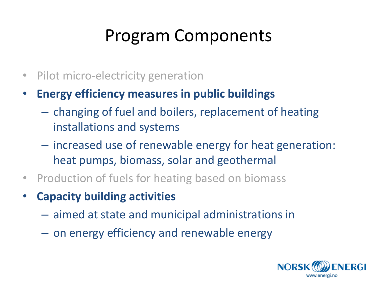#### Program Components

- Pilot micro-electricity generation
- **Energy efficiency measures in public buildings** 
	- changing of fuel and boilers, replacement of heating installations and systems
	- increased use of renewable energy for heat generation: heat pumps, biomass, solar and geothermal
- Production of fuels for heating based on biomass
- **Capacity building activities** 
	- aimed at state and municipal administrations in
	- on energy efficiency and renewable energy